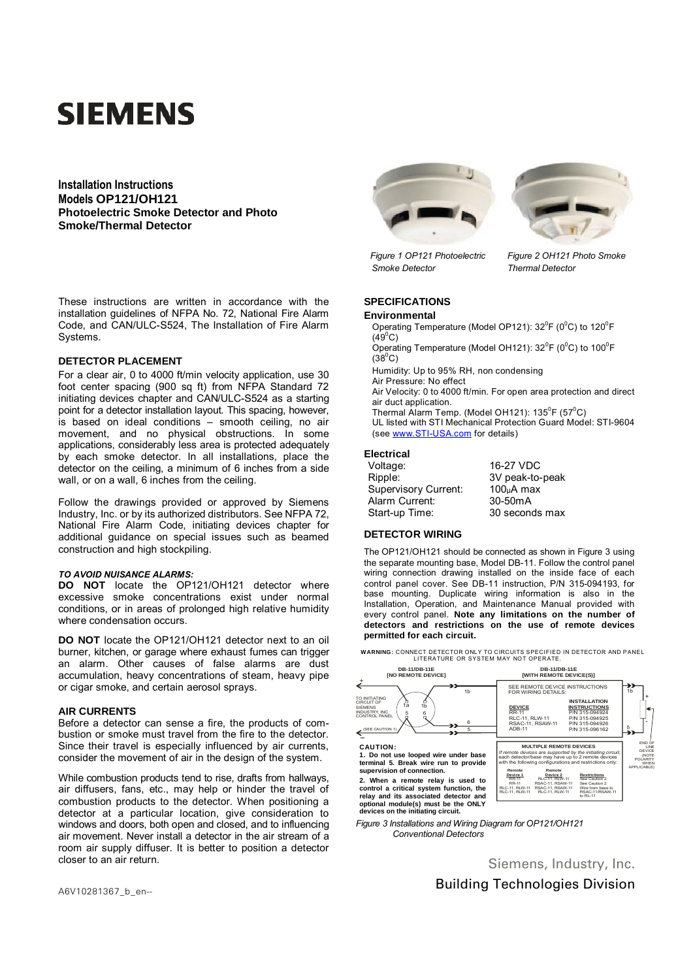# **SIEMENS**

**Installation Instructions Models OP121/OH121 Photoelectric Smoke Detector and Photo Smoke/Thermal Detector**

These instructions are written in accordance with the installation guidelines of NFPA No. 72, National Fire Alarm Code, and CAN/ULC-S524, The Installation of Fire Alarm Systems.

## **DETECTOR PLACEMENT**

For a clear air, 0 to 4000 ft/min velocity application, use 30 foot center spacing (900 sq ft) from NFPA Standard 72 initiating devices chapter and CAN/ULC-S524 as a starting point for a detector installation layout. This spacing, however, is based on ideal conditions – smooth ceiling, no air movement, and no physical obstructions. In some applications, considerably less area is protected adequately by each smoke detector. In all installations, place the detector on the ceiling, a minimum of 6 inches from a side wall, or on a wall, 6 inches from the ceiling.

Follow the drawings provided or approved by Siemens Industry, Inc. or by its authorized distributors. See NFPA 72, National Fire Alarm Code, initiating devices chapter for additional guidance on special issues such as beamed construction and high stockpiling.

### *TO AVOID NUISANCE ALARMS:*

**DO NOT** locate the OP121/OH121 detector where excessive smoke concentrations exist under normal conditions, or in areas of prolonged high relative humidity where condensation occurs.

**DO NOT** locate the OP121/OH121 detector next to an oil burner, kitchen, or garage where exhaust fumes can trigger an alarm. Other causes of false alarms are dust accumulation, heavy concentrations of steam, heavy pipe or cigar smoke, and certain aerosol sprays.

# **AIR CURRENTS**

Before a detector can sense a fire, the products of combustion or smoke must travel from the fire to the detector. Since their travel is especially influenced by air currents, consider the movement of air in the design of the system.

While combustion products tend to rise, drafts from hallways, air diffusers, fans, etc., may help or hinder the travel of combustion products to the detector. When positioning a detector at a particular location, give consideration to windows and doors, both open and closed, and to influencing air movement. Never install a detector in the air stream of a room air supply diffuser. It is better to position a detector closer to an air return.





*Figure 1 OP121 Photoelectric Figure 2 OH121 Photo Smoke Smoke Detector Thermal Detector*

# **SPECIFICATIONS**

#### **Environmental**

Operating Temperature (Model OP121):  $32^{\circ}F$  (0°C) to 120°F  $(49^{\circ}C)$ 

Operating Temperature (Model OH121):  $32^{\circ}F$  (0°C) to 100°F  $(38^{\circ}C)$ 

Humidity: Up to 95% RH, non condensing Air Pressure: No effect

Air Velocity: 0 to 4000 ft/min. For open area protection and direct air duct application.

Thermal Alarm Temp. (Model OH121): 135 $\mathrm{^0F}$  (57 $\mathrm{^0C}$ ) UL listed with STI Mechanical Protection Guard Model: STI-9604 (see [www.STI-USA.com](http://www.sti-usa.com/) for details)

## **Electrical**

| 16-27 VDC            |
|----------------------|
| 3V peak-to-peak      |
| $100µA$ max          |
| 30-50 <sub>m</sub> A |
| 30 seconds max       |
|                      |

## **DETECTOR WIRING**

The OP121/OH121 should be connected as shown in Figure 3 using the separate mounting base, Model DB-11. Follow the control panel wiring connection drawing installed on the inside face of each control panel cover. See DB-11 instruction, P/N 315-094193, for base mounting. Duplicate wiring information is also in the Installation, Operation, and Maintenance Manual provided with every control panel. **Note any limitations on the number of detectors and restrictions on the use of remote devices permitted for each circuit.**



*Figure 3 Installations and Wiring Diagram for OP121/OH121 Conventional Detectors*

> Siemens, Industry, Inc. Building Technologies Division